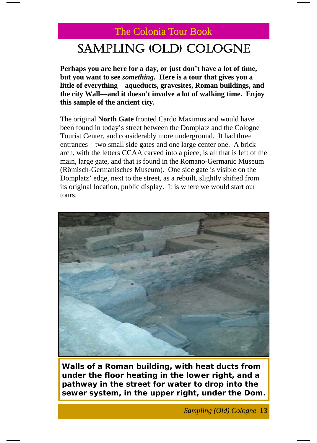# SAMPLING (OLD) COLOGNE

**Perhaps you are here for a day, or just don't have a lot of time, but you want to see** *something***. Here is a tour that gives you a little of everything—aqueducts, gravesites, Roman buildings, and the city Wall—and it doesn't involve a lot of walking time. Enjoy this sample of the ancient city.** 

The original **North Gate** fronted Cardo Maximus and would have been found in today's street between the Domplatz and the Cologne Tourist Center, and considerably more underground. It had three entrances—two small side gates and one large center one. A brick arch, with the letters CCAA carved into a piece, is all that is left of the main, large gate, and that is found in the Romano-Germanic Museum (Römisch-Germanisches Museum). One side gate is visible on the Domplatz' edge, next to the street, as a rebuilt, slightly shifted from its original location, public display. It is where we would start our tours.



**Walls of a Roman building, with heat ducts from under the floor heating in the lower right, and a pathway in the street for water to drop into the sewer system, in the upper right, under the Dom.** 

*Sampling (Old) Cologne* **13**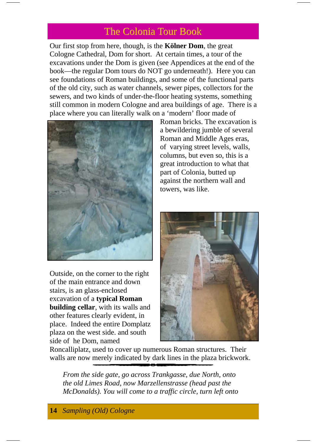Our first stop from here, though, is the **Kölner Dom**, the great Cologne Cathedral, Dom for short. At certain times, a tour of the excavations under the Dom is given (see Appendices at the end of the book—the regular Dom tours do NOT go underneath!). Here you can see foundations of Roman buildings, and some of the functional parts of the old city, such as water channels, sewer pipes, collectors for the sewers, and two kinds of under-the-floor heating systems, something still common in modern Cologne and area buildings of age. There is a place where you can literally walk on a 'modern' floor made of



Outside, on the corner to the right of the main entrance and down stairs, is an glass-enclosed excavation of a **typical Roman building cellar**, with its walls and other features clearly evident, in place. Indeed the entire Domplatz plaza on the west side. and south side of he Dom, named

Roman bricks. The excavation is a bewildering jumble of several Roman and Middle Ages eras, of varying street levels, walls, columns, but even so, this is a great introduction to what that part of Colonia, butted up against the northern wall and towers, was like.



Roncalliplatz, used to cover up numerous Roman structures. Their walls are now merely indicated by dark lines in the plaza brickwork.

*From the side gate, go across Trankgasse, due North, onto the old Limes Road, now Marzellenstrasse (head past the McDonalds). You will come to a traffic circle, turn left onto*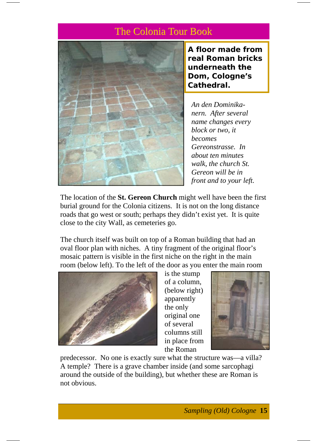

**A floor made from real Roman bricks underneath the Dom, Cologne's Cathedral.** 

*An den Dominikanern. After several name changes every block or two, it becomes Gereonstrasse. In about ten minutes walk, the church St. Gereon will be in front and to your left.* 

The location of the **St. Gereon Church** might well have been the first burial ground for the Colonia citizens. It is not on the long distance roads that go west or south; perhaps they didn't exist yet. It is quite close to the city Wall, as cemeteries go.

The church itself was built on top of a Roman building that had an oval floor plan with niches. A tiny fragment of the original floor's mosaic pattern is visible in the first niche on the right in the main room (below left). To the left of the door as you enter the main room



is the stump of a column, (below right) apparently the only original one of several columns still in place from the Roman



predecessor. No one is exactly sure what the structure was—a villa? A temple? There is a grave chamber inside (and some sarcophagi around the outside of the building), but whether these are Roman is not obvious.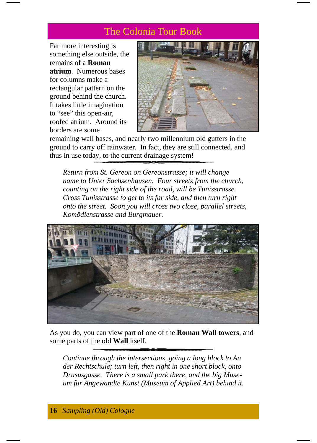Far more interesting is something else outside, the remains of a **Roman atrium**. Numerous bases for columns make a rectangular pattern on the ground behind the church. It takes little imagination to "see" this open-air, roofed atrium. Around its borders are some



remaining wall bases, and nearly two millennium old gutters in the ground to carry off rainwater. In fact, they are still connected, and thus in use today, to the current drainage system!

*Return from St. Gereon on Gereonstrasse; it will change name to Unter Sachsenhausen. Four streets from the church, counting on the right side of the road, will be Tunisstrasse. Cross Tunisstrasse to get to its far side, and then turn right onto the street. Soon you will cross two close, parallel streets, Komödienstrasse and Burgmauer.* 



As you do, you can view part of one of the **Roman Wall towers**, and some parts of the old **Wall** itself.

*Continue through the intersections, going a long block to An der Rechtschule; turn left, then right in one short block, onto Drususgasse. There is a small park there, and the big Museum für Angewandte Kunst (Museum of Applied Art) behind it.*